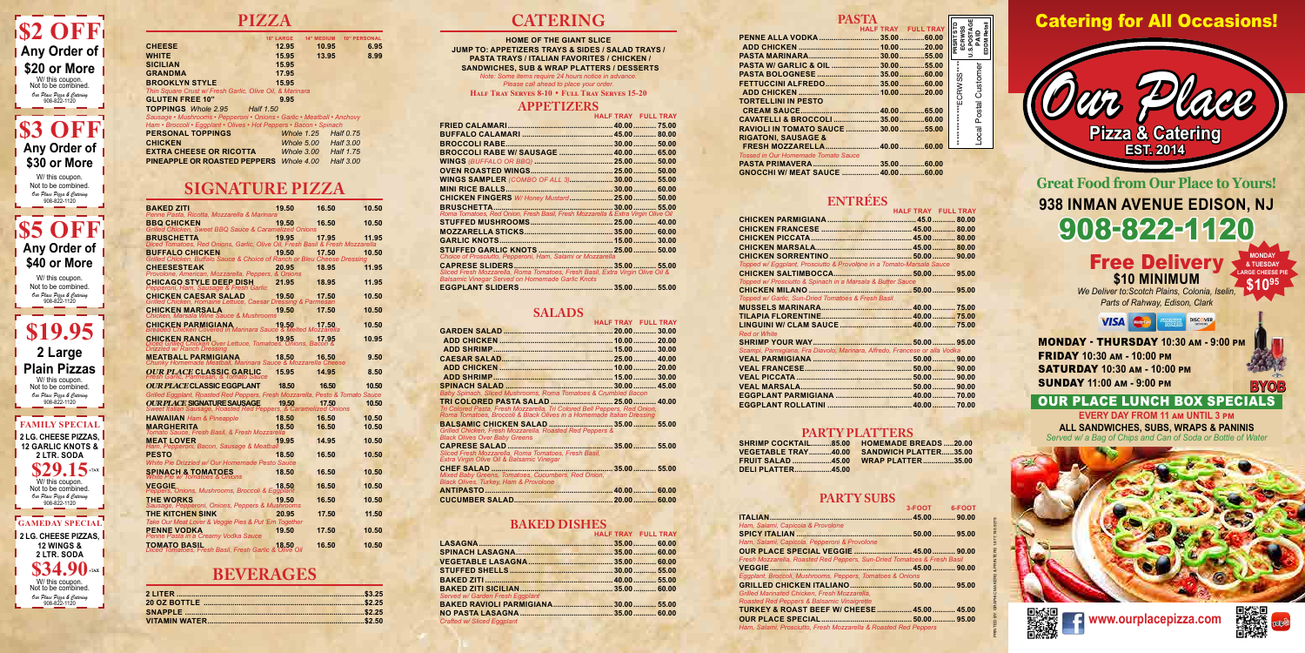PRINTED BY: GRAPHIC MAKERS & PRINTERS 1.877.749.9279

**U.S.POSTAGE PAID EDDM Retail**

Local Postal Customer

Local Postal Custome

# **PIZZA**

|                                                                        | <b>14" MEDIUM</b><br><b>16" LARGE</b> | <b>10" PERSONAL</b> |
|------------------------------------------------------------------------|---------------------------------------|---------------------|
| <b>CHEESE</b>                                                          | 12.95<br>10.95                        | 6.95                |
| <b>WHITE</b>                                                           | 15.95<br>13.95                        | 8.99                |
| <b>SICILIAN</b>                                                        | 15.95                                 |                     |
| <b>GRANDMA</b>                                                         | 17.95                                 |                     |
| <b>BROOKLYN STYLE</b>                                                  | 15.95                                 |                     |
| Thin Square Crust w/ Fresh Garlic, Olive Oil, & Marinara               |                                       |                     |
| <b>GLUTEN FREE 10"</b>                                                 | 9.95                                  |                     |
| <b>TOPPINGS</b> Whole 2.95 Half 1.50                                   |                                       |                     |
| Sausage • Mushrooms • Pepperoni • Onions • Garlic • Meatball • Anchovy |                                       |                     |
| Ham • Broccoli • Eggplant • Olives • Hot Peppers • Bacon • Spinach     |                                       |                     |
| <b>PERSONAL TOPPINGS</b>                                               | Whole 1.25                            | <b>Half 0.75</b>    |
| <b>CHICKEN</b>                                                         | Whole 5.00 Half 3.00                  |                     |
| <b>EXTRA CHEESE OR RICOTTA</b>                                         | Whole 3.00                            | Half 1.75           |
| <b>PINEAPPLE OR ROASTED PEPPERS</b> Whole 4.00                         |                                       | Half 3.00           |

## **SIGNATURE PIZZA**

| <b>BAKED ZITI</b><br>Penne Pasta, Ricotta, Mozzarella & Marinara                                                   | 19.50 | 16.50 | 10.50 |
|--------------------------------------------------------------------------------------------------------------------|-------|-------|-------|
| <b>BBQ CHICKEN</b>                                                                                                 | 19.50 | 16.50 | 10.50 |
| Grilled Chicken, Sweet BBQ Sauce & Caramelized Onions                                                              |       |       |       |
| <b>BRUSCHETTA</b><br>Diced Tomatoes, Red Onions, Garlic, Olive Oil, Fresh Basil & Fresh Mozzarella                 | 19.95 | 17.95 | 11.95 |
| <b>BUFFALO CHICKEN</b>                                                                                             | 19.50 | 17.50 | 10.50 |
| Grilled Chicken, Buffalo Sauce & Choice of Ranch or Bleu Cheese Dressing<br><b>CHEESESTEAK</b>                     | 20.95 | 18.95 | 11.95 |
| Provolone, American, Mozzarella, Peppers, & Onions                                                                 |       |       |       |
| CHICAGO STYLE DEEP DISH<br>Pepperoni, Ham, Sausage & Fresh Garlic                                                  | 21.95 | 18.95 | 11.95 |
| <b>CHICKEN CAESAR SALAD</b>                                                                                        | 19.50 | 17.50 | 10.50 |
| Grilled Chicken, Romaine Lettuce, Caesar Dressing & Parmesan<br><b>CHICKEN MARSALA</b>                             | 19.50 | 17.50 | 10.50 |
| Chicken, Marsala Wine Sauce & Mushrooms                                                                            |       |       |       |
| <b>CHICKEN PARMIGIANA</b><br>Breaded Chicken Covered in Marinara Sauce & Melted Mozzarella                         | 19.50 | 17.50 | 10.50 |
| <b>CHICKEN RANCH</b>                                                                                               | 19.95 | 17.95 | 10.95 |
| Diced Grilled Chicken Over Lettuce, Tomatoes, Onions, Bacon &<br>Drizzled w/ Ranch Dressing                        |       |       |       |
| <b>MEATBALL PARMIGIANA</b><br>Chunky Homemade Meatball, Marinara Sauce & Mozzarella Cheese                         | 18.50 | 16.50 | 9.50  |
| <b>OUR PLACE CLASSIC GARLIC</b>                                                                                    | 15.95 | 14.95 | 8.50  |
| Fresh Garlic, Parmesan, & Tomato Sauce<br><b>OUR PLACE CLASSIC EGGPLANT</b>                                        | 18.50 | 16.50 | 10.50 |
| Grilled Eggplant, Roasted Red Peppers, Fresh Mozzarella, Pesto & Tomato Sauce                                      |       |       |       |
| <b>OUR PLACE SIGNATURE SAUSAGE 19.50 17.50</b><br>Sweet Italian Sausage, Roasted Red Peppers, & Caramelized Onions |       |       | 10.50 |
|                                                                                                                    |       |       |       |
|                                                                                                                    |       |       |       |
| <b>HAWAIIAN</b> Ham & Pineapple                                                                                    | 18.50 | 16.50 | 10.50 |
| <b>MARGHERITA</b><br>Tomato Sauce, Fresh Basil, & Fresh Mozzarella                                                 | 18.50 | 16.50 | 10.50 |
| <b>MEAT LOVER</b><br>Ham, Pepperoni, Bacon, Sausage & Meatball                                                     | 19.95 | 14.95 | 10.50 |
| <b>PESTO</b>                                                                                                       | 18.50 | 16.50 | 10.50 |
| White Pie Drizzled w/ Our Homemade Pesto Sauce                                                                     |       |       |       |
| <b>SPINACH &amp; TOMATOES</b><br>White Pie w/Tomatoes & Onions                                                     | 18.50 | 16.50 | 10.50 |
| <b>VEGGIE</b>                                                                                                      | 18.50 | 16.50 | 10.50 |
| Peppers, Onions, Mushrooms, Broccoli & Eggplant<br><b>THE WORKS</b>                                                | 19.50 | 16.50 | 10.50 |
| Sausage, Pepperoni, Onions, Peppers & Mushrooms                                                                    |       |       |       |
| <b>THE KITCHEN SINK</b><br>Take Our Meat Lover & Veggie Pies & Put 'Em Together                                    | 20.95 | 17.50 | 11.50 |
| <b>PENNE VODKA</b>                                                                                                 | 19.50 | 17.50 | 10.50 |
| Penne Pasta in a Creamy Vodka Sauce<br>TOMATO BASIL<br>Diced Tomatoes, Fresh Basil, Fresh Garlic & Olive Oil       | 18.50 | 16.50 | 10.50 |

## **BEVERAGES**

## **CATERING**

**HOME OF THE GIANT SLICE JUMP TO: APPETIZERS TRAYS & SIDES / SALAD TRAYS / PASTA TRAYS / ITALIAN FAVORITES / CHICKEN / SANDWICHES, SUB & WRAP PLATTERS / DESSERTS** *Note: Some items require 24 hours notice in advance.* 

*Please call ahead to place your order.*

**Half Tray Serves 8-10** • **Full Tray Serves 15-20**

### **APPETIZERS**

|                                            | HALF TRAY FULL TRAY |                             |
|--------------------------------------------|---------------------|-----------------------------|
|                                            |                     |                             |
|                                            |                     | <b>PRSRT STD<br/>ECRWSS</b> |
|                                            |                     |                             |
|                                            |                     |                             |
|                                            |                     |                             |
|                                            |                     |                             |
|                                            |                     |                             |
| <b>TORTELLINI IN PESTO</b>                 |                     | *************ECRWSS****     |
|                                            |                     |                             |
|                                            |                     |                             |
| RAVIOLI IN TOMATO SAUCE  30.00  55.00      |                     |                             |
| <b>RIGATONI, SAUSAGE &amp;</b>             |                     |                             |
|                                            |                     |                             |
| <b>Tossed in Our Homemade Tomato Sauce</b> |                     |                             |
|                                            |                     |                             |

| <b>CHICKEN FINGERS W/ Honey Mustard 25.00 50.00</b>                              |  |
|----------------------------------------------------------------------------------|--|
| <b>BRUSCHETTA</b><br>$30.00$ 55.00                                               |  |
| Roma Tomatoes, Red Onion, Fresh Basil, Fresh Mozzarella & Extra Virgin Olive Oil |  |
|                                                                                  |  |
|                                                                                  |  |
|                                                                                  |  |
|                                                                                  |  |
| Choice of Prosciutto, Pepperoni, Ham, Salami or Mozzarella                       |  |
| Sliced Fresh Mozzarella, Roma Tomatoes, Fresh Basil, Extra Virgin Olive Oil &    |  |
| <b>Balsamic Vinegar Served on Homemade Garlic Knots</b>                          |  |
|                                                                                  |  |

### **SALADS**

**MEMADE BREADS .....20.00 SANDWICH PLATTER......35.00 WRAP PLATTER...............35.00**

|                                                                                                                                                    | <b>HALF TRAY FULL TRAY</b> |  |
|----------------------------------------------------------------------------------------------------------------------------------------------------|----------------------------|--|
|                                                                                                                                                    |                            |  |
|                                                                                                                                                    |                            |  |
|                                                                                                                                                    |                            |  |
|                                                                                                                                                    |                            |  |
|                                                                                                                                                    |                            |  |
|                                                                                                                                                    |                            |  |
|                                                                                                                                                    |                            |  |
| Baby Spinach, Sliced Mushrooms, Roma Tomatoes & Crumbled Bacon                                                                                     |                            |  |
|                                                                                                                                                    |                            |  |
| Tri Colored Pasta, Fresh Mozzarella, Tri Colored Bell Peppers, Red Onion,<br>Roma Tomatoes, Broccoli & Black Olives in a Homemade Italian Dressing |                            |  |
|                                                                                                                                                    |                            |  |
| Grilled Chicken, Fresh Mozzarella, Roasted Red Peppers &                                                                                           |                            |  |
| <b>Black Olives Over Baby Greens</b>                                                                                                               |                            |  |
|                                                                                                                                                    |                            |  |
| Sliced Fresh Mozzarella, Roma Tomatoes, Fresh Basil,                                                                                               |                            |  |
| Extra Virgin Olive Oil & Balsamic Vinegar                                                                                                          |                            |  |
| Mixed Baby Greens, Tomatoes, Cucumbers, Red Onion,                                                                                                 |                            |  |
| <b>Black Olives, Turkey, Ham &amp; Provolone</b>                                                                                                   |                            |  |
|                                                                                                                                                    |                            |  |
|                                                                                                                                                    |                            |  |
|                                                                                                                                                    |                            |  |

**EVERY DAY FROM 11 am UNTIL 3 pm ALL SANDWICHES, SUBS, WRAPS & PANINIS** *Served w/ a Bag of Chips and Can of Soda or Bottle of Water* 





## **\$2 OFF Any Order of | \$20 or More \$3 OFF Any Order of**  W/ this coupon.<br>Not to be combined. *Our Place Pizza & Catering* 908-822-1120

### **BAKED DISHES**

|                                   | <b>HALF TRAY FULL TRAY</b> |
|-----------------------------------|----------------------------|
|                                   |                            |
|                                   |                            |
|                                   |                            |
|                                   |                            |
|                                   |                            |
|                                   |                            |
| Served w/ Garden Fresh Eggplant   |                            |
|                                   |                            |
|                                   |                            |
| <b>Crafted w/ Sliced Eggplant</b> |                            |

### **PASTA**

|  | . AV IA 1990 RUU KUULAVA RYKUULUULUULUULUULUULUULUU VYIVYI UULUULUVYIVY |  |
|--|-------------------------------------------------------------------------|--|
|  |                                                                         |  |
|  |                                                                         |  |
|  |                                                                         |  |

### **ENTRÉES**

| Topped w/ Eggplant, Prosciutto & Provolone in a Tomato-Marsala Sauce<br>Topped w/ Prosciutto & Spinach in a Marsala & Butter Sauce<br>Topped w/ Garlic, Sun-Dried Tomatoes & Fresh Basil<br>Scampi, Parmigiana, Fra Diavolo, Marinara, Alfredo, Francese or alla Vodka |                     | <b>HALF TRAY FULL TRAY</b> |  |
|------------------------------------------------------------------------------------------------------------------------------------------------------------------------------------------------------------------------------------------------------------------------|---------------------|----------------------------|--|
|                                                                                                                                                                                                                                                                        |                     |                            |  |
|                                                                                                                                                                                                                                                                        |                     |                            |  |
|                                                                                                                                                                                                                                                                        |                     |                            |  |
|                                                                                                                                                                                                                                                                        |                     |                            |  |
|                                                                                                                                                                                                                                                                        |                     |                            |  |
|                                                                                                                                                                                                                                                                        |                     |                            |  |
|                                                                                                                                                                                                                                                                        |                     |                            |  |
|                                                                                                                                                                                                                                                                        |                     |                            |  |
|                                                                                                                                                                                                                                                                        |                     |                            |  |
|                                                                                                                                                                                                                                                                        |                     |                            |  |
|                                                                                                                                                                                                                                                                        |                     |                            |  |
|                                                                                                                                                                                                                                                                        |                     |                            |  |
|                                                                                                                                                                                                                                                                        |                     |                            |  |
|                                                                                                                                                                                                                                                                        | <b>Red or White</b> |                            |  |
|                                                                                                                                                                                                                                                                        |                     |                            |  |
|                                                                                                                                                                                                                                                                        |                     |                            |  |
|                                                                                                                                                                                                                                                                        |                     |                            |  |
|                                                                                                                                                                                                                                                                        |                     |                            |  |
|                                                                                                                                                                                                                                                                        |                     |                            |  |
|                                                                                                                                                                                                                                                                        |                     |                            |  |
|                                                                                                                                                                                                                                                                        |                     |                            |  |
|                                                                                                                                                                                                                                                                        |                     |                            |  |

### **PARTY PLATTERS**

| SHRIMP COCKTAIL85.00 HC    |  |
|----------------------------|--|
| VEGETABLE TRAY40.00     SA |  |
| FRUIT SALAD 45.00  WF      |  |
| <b>DELI PLATTER45.00</b>   |  |

### **PARTY SUBS**

|                                                                         | 3-FOOT 6-FOOT |  |
|-------------------------------------------------------------------------|---------------|--|
|                                                                         |               |  |
| Ham, Salami, Capicola & Provolone                                       |               |  |
|                                                                         |               |  |
| Ham, Salami, Capicola, Pepperoni & Provolone                            |               |  |
|                                                                         |               |  |
| Fresh Mozzarella, Roasted Red Peppers, Sun-Dried Tomatoes & Fresh Basil |               |  |
|                                                                         |               |  |
| Eggplant, Broccoli, Mushrooms, Peppers, Tomatoes & Onions               |               |  |
|                                                                         |               |  |
| Grilled Marinated Chicken. Fresh Mozzarella.                            |               |  |
| Roasted Red Peppers & Balsamic Vinaigrette                              |               |  |
| TURKEY & ROAST BEEF W/ CHEESE  45.00  45.00                             |               |  |
|                                                                         |               |  |
| Ham, Salami, Prosciutto, Fresh Mozzarella & Roasted Red Peppers         |               |  |
|                                                                         |               |  |

Free Delivery **\$10 MINIMUM**

*We Deliver to:Scotch Plains, Colonia, Iselin, Parts of Rahway, Edison, Clark*

> **VISA** DISC VER

**938 INMAN AVENUE EDISON, NJ** 908-822-1120 **Great Food from Our Place to Yours!**

MONDAY - THURSDAY **10:30 am - 9:00 pm** FRIDAY **10:30 am - 10:00 pm** SATURDAY **10:30 am - 10:00 pm** SUNDAY **11:00 am - 9:00 pm**

*Our Place* **Pizza & Catering EST. 2014**

# Catering for All Occasions!

**BYOB**

**www.ourplacepizza.com**



OUR PLACE LUNCH BOX SPECIALS

**MONDAY & TUESDAY \$1095 LARGE CHEESE PIE**

**\$30 or More**

**\$5 OFF Any Order of \$40 or More**

**FAMILY SPECIAL**

**\$29.15** +T/ **2 LG. CHEESE PIZZAS, 12 GARLIC KNOTS & 2 LTR. SODA** *Our Place Pizza & Catering* 908-822-1120 Not to be combined

**GAMEDAY SPECIAL**

**\$34.90** TAX **2 LG. CHEESE PIZZAS, 12 WINGS & 2 LTR. SODA** *Our Place Pizza & Catering* 908-822-1120 Not to be combined.

**\$19.95 2 Large Plain Pizzas** *Our Place Pizza & Catering* 908-822-1120 W/ this coupon. Not to be combined.

*Our Place Pizza & Catering* 908-822-1120 W/ this coupon. Not to be combined.

*Our Place Pizza & Catering* 908-822-1120 W/ this coupon. Not to be combined.